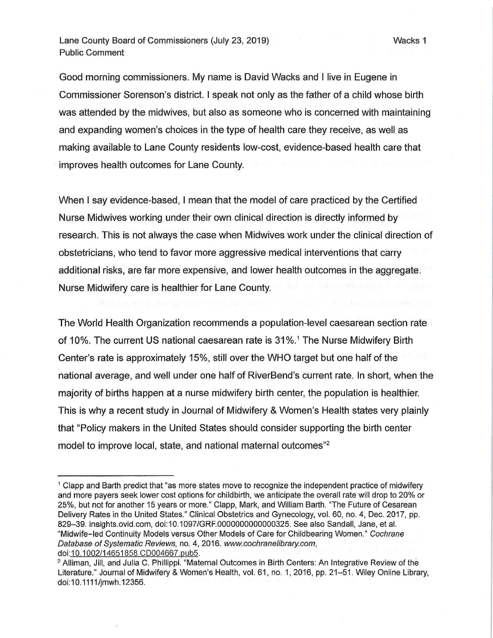Lane County Board of Commissioners (July 23, 2019) Public Comment

Good morning commissioners. My name is David Wacks and I live in Eugene in Commissioner Sorenson's district. I speak not only as the father of a child whose birth was attended by the midwives, but also as someone who is concerned with maintaining and expanding women's choices in the type of health care they receive, as well as making available to Lane County residents low-cost, evidence-based health care that improves health outcomes for Lane County.

Wacks 1

When I say evidence-based, I mean that the model of care practiced by the Certified Nurse Midwives working under their own clinical direction is directly informed by research. This is not always the case when Midwives work under the clinical direction of obstetricians, who tend to favor more aggressive medical interventions that carry additional risks, are far more expensive, and lower health outcomes in the aggregate. Nurse Midwifery care is healthier for Lane County.

The World Health Organization recommends a population-level caesarean section rate of 10%. The current US national caesarean rate is 31%.<sup>1</sup> The Nurse Midwifery Birth Center's rate is approximately 15%, still over the WHO target but one half of the national average, and well under one half of RiverBend's current rate. In short, when the majority of births happen at a nurse midwifery birth center, the population is healthier. This is why a recent study in Journal of Midwifery & Women's Health states very plainly that "Policy makers in the United States should consider supporting the birth center model to improve local, state, and national maternal outcomes"<sup>2</sup>

<sup>1</sup>Clapp and Barth predict that "as more states move to recognize the independent practice of midwifery and more payers seek lower cost options for childbirth, we anticipate the overall rate will drop to 20% or 25%, but not for another 15 years or more." Clapp, Mark, and William Barth. "The Future of Cesarean Delivery Rates in the United States." Clinical Obstetrics and Gynecology, vol. 60, no. 4, Dec. 2017, pp. 829-39. insights.ovid.com, doi:10.1097/GRF.0000000000000325. See also Sandall, Jane, et al. "Midwife-led Continuity Models versus Other Models of Care for Childbearing Women." Cochrane Database of Systematic Reviews, no. 4, 2016. www.cochranelibrary.com, doi:10.1002/14651858.CD004667.pub5.

<sup>&</sup>lt;sup>2</sup> Alliman, Jill, and Julia C. Phillippi. "Maternal Outcomes in Birth Centers: An Integrative Review of the Literature." Journal of Midwifery & Women's Health, vol. 61, no. 1, 2016, pp. 21-51. Wiley Online Library, doi: 10.1111/jmwh.12356.